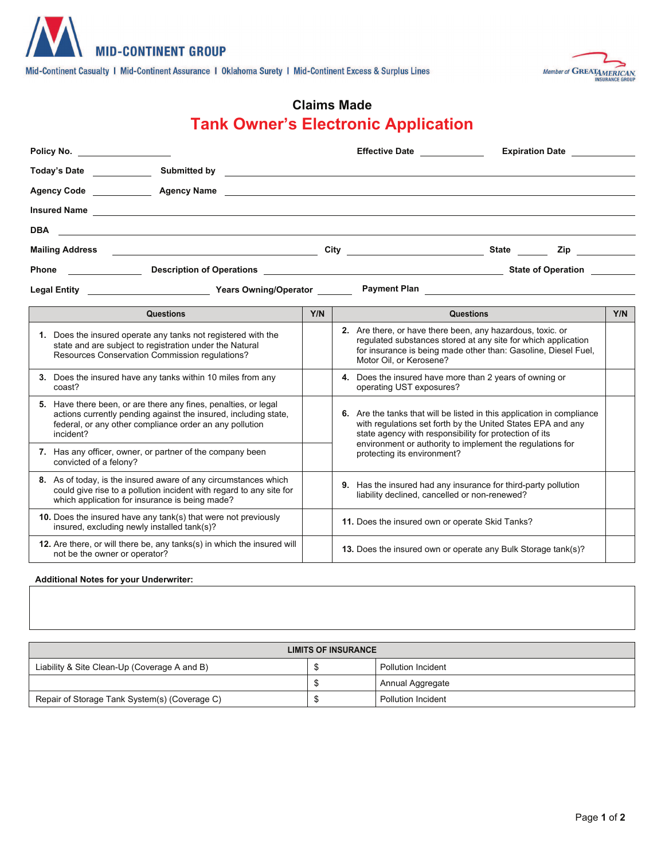

Mid-Continent Casualty | Mid-Continent Assurance | Oklahoma Surety | Mid-Continent Excess & Surplus Lines



# **Claims Made Tank Owner's Electronic Application**

| Policy No.                                                                                                                                                                                                 |     | Effective Date <b>Effective</b>                                                                                                                                                                                                                              |                  | <b>Expiration Date</b>    |     |
|------------------------------------------------------------------------------------------------------------------------------------------------------------------------------------------------------------|-----|--------------------------------------------------------------------------------------------------------------------------------------------------------------------------------------------------------------------------------------------------------------|------------------|---------------------------|-----|
| Today's Date <b>Show that the State State</b>                                                                                                                                                              |     |                                                                                                                                                                                                                                                              |                  |                           |     |
| Agency Code <b>Agency Name Agency Name Agency Name Agency Name Agency Name Agency Name Agency Name Agency Name Agency Name Agency Name Agency Name Agency Name Agency Name Agency Name Agency Name Age</b> |     |                                                                                                                                                                                                                                                              |                  |                           |     |
|                                                                                                                                                                                                            |     |                                                                                                                                                                                                                                                              |                  |                           |     |
| <b>DBA</b><br><u> 1989 - Andrea Santan Andrea Santan (h. 1989).</u>                                                                                                                                        |     |                                                                                                                                                                                                                                                              |                  |                           |     |
|                                                                                                                                                                                                            |     |                                                                                                                                                                                                                                                              |                  | Zip                       |     |
| <b>Phone</b>                                                                                                                                                                                               |     |                                                                                                                                                                                                                                                              |                  | <b>State of Operation</b> |     |
|                                                                                                                                                                                                            |     |                                                                                                                                                                                                                                                              |                  |                           |     |
| <b>Questions</b>                                                                                                                                                                                           | Y/N |                                                                                                                                                                                                                                                              | <b>Questions</b> |                           | Y/N |
| 1. Does the insured operate any tanks not registered with the<br>state and are subject to registration under the Natural<br>Resources Conservation Commission regulations?                                 |     | 2. Are there, or have there been, any hazardous, toxic, or<br>regulated substances stored at any site for which application<br>for insurance is being made other than: Gasoline, Diesel Fuel,<br>Motor Oil, or Kerosene?                                     |                  |                           |     |
| 3. Does the insured have any tanks within 10 miles from any<br>coast?                                                                                                                                      |     | 4. Does the insured have more than 2 years of owning or<br>operating UST exposures?                                                                                                                                                                          |                  |                           |     |
| 5. Have there been, or are there any fines, penalties, or legal<br>actions currently pending against the insured, including state,<br>federal, or any other compliance order an any pollution<br>incident? |     | 6. Are the tanks that will be listed in this application in compliance<br>with regulations set forth by the United States EPA and any<br>state agency with responsibility for protection of its<br>environment or authority to implement the regulations for |                  |                           |     |
| 7. Has any officer, owner, or partner of the company been<br>convicted of a felony?                                                                                                                        |     | protecting its environment?                                                                                                                                                                                                                                  |                  |                           |     |
| 8. As of today, is the insured aware of any circumstances which<br>could give rise to a pollution incident with regard to any site for<br>which application for insurance is being made?                   |     | 9. Has the insured had any insurance for third-party pollution<br>liability declined, cancelled or non-renewed?                                                                                                                                              |                  |                           |     |
| 10. Does the insured have any tank(s) that were not previously<br>insured, excluding newly installed tank(s)?                                                                                              |     | 11. Does the insured own or operate Skid Tanks?                                                                                                                                                                                                              |                  |                           |     |
| 12. Are there, or will there be, any tanks(s) in which the insured will<br>not be the owner or operator?                                                                                                   |     | 13. Does the insured own or operate any Bulk Storage tank(s)?                                                                                                                                                                                                |                  |                           |     |

### **Additional Notes for your Underwriter:**

| LIMITS OF INSURANCE                           |  |                           |  |  |  |  |
|-----------------------------------------------|--|---------------------------|--|--|--|--|
| Liability & Site Clean-Up (Coverage A and B)  |  | <b>Pollution Incident</b> |  |  |  |  |
|                                               |  | Annual Aggregate          |  |  |  |  |
| Repair of Storage Tank System(s) (Coverage C) |  | Pollution Incident        |  |  |  |  |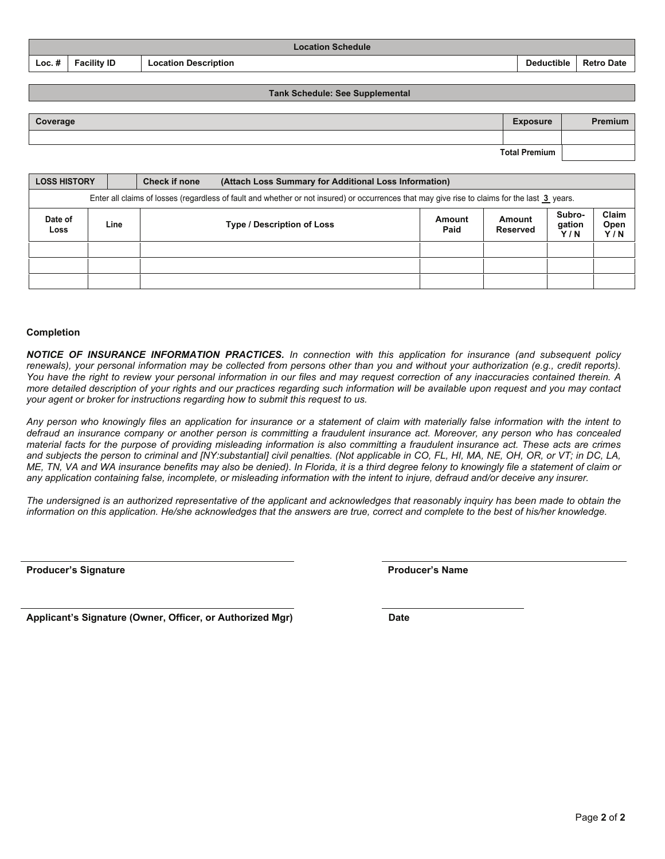Page **2** of **2**

|          | Location Schedule  |                             |                   |                   |  |  |  |
|----------|--------------------|-----------------------------|-------------------|-------------------|--|--|--|
| $Loc.$ # | <b>Facility ID</b> | <b>Location Description</b> | <b>Deductible</b> | <b>Retro Date</b> |  |  |  |

#### **Tank Schedule: See Supplemental**

| Coverage | <b>Exposure</b>      | <b>Premium</b> |
|----------|----------------------|----------------|
|          |                      |                |
|          | <b>Total Premium</b> |                |

| <b>LOSS HISTORY</b>                                          |                                                                                                                                               | <b>Check if none</b> | (Attach Loss Summary for Additional Loss Information) |                    |                         |                      |  |  |  |
|--------------------------------------------------------------|-----------------------------------------------------------------------------------------------------------------------------------------------|----------------------|-------------------------------------------------------|--------------------|-------------------------|----------------------|--|--|--|
|                                                              | Enter all claims of losses (regardless of fault and whether or not insured) or occurrences that may give rise to claims for the last 3 years. |                      |                                                       |                    |                         |                      |  |  |  |
| Date of<br>Line<br><b>Type / Description of Loss</b><br>Loss |                                                                                                                                               |                      | Amount<br>Paid                                        | Amount<br>Reserved | Subro-<br>gation<br>Y/N | Claim<br>Open<br>Y/N |  |  |  |
|                                                              |                                                                                                                                               |                      |                                                       |                    |                         |                      |  |  |  |
|                                                              |                                                                                                                                               |                      |                                                       |                    |                         |                      |  |  |  |
|                                                              |                                                                                                                                               |                      |                                                       |                    |                         |                      |  |  |  |

#### **Completion**

*NOTICE OF INSURANCE INFORMATION PRACTICES. In connection with this application for insurance (and subsequent policy renewals), your personal information may be collected from persons other than you and without your authorization (e.g., credit reports). You have the right to review your personal information in our files and may request correction of any inaccuracies contained therein. A more detailed description of your rights and our practices regarding such information will be available upon request and you may contact your agent or broker for instructions regarding how to submit this request to us.*

*Any person who knowingly files an application for insurance or a statement of claim with materially false information with the intent to defraud an insurance company or another person is committing a fraudulent insurance act. Moreover, any person who has concealed material facts for the purpose of providing misleading information is also committing a fraudulent insurance act. These acts are crimes and subjects the person to criminal and [NY:substantial] civil penalties. (Not applicable in CO, FL, HI, MA, NE, OH, OR, or VT; in DC, LA, ME, TN, VA and WA insurance benefits may also be denied). In Florida, it is a third degree felony to knowingly file a statement of claim or any application containing false, incomplete, or misleading information with the intent to injure, defraud and/or deceive any insurer.*

*The undersigned is an authorized representative of the applicant and acknowledges that reasonably inquiry has been made to obtain the information on this application. He/she acknowledges that the answers are true, correct and complete to the best of his/her knowledge.*

**Producer's Signature Producer's Name**

Applicant's Signature (Owner, Officer, or Authorized Mgr) **221 120 1212** Date